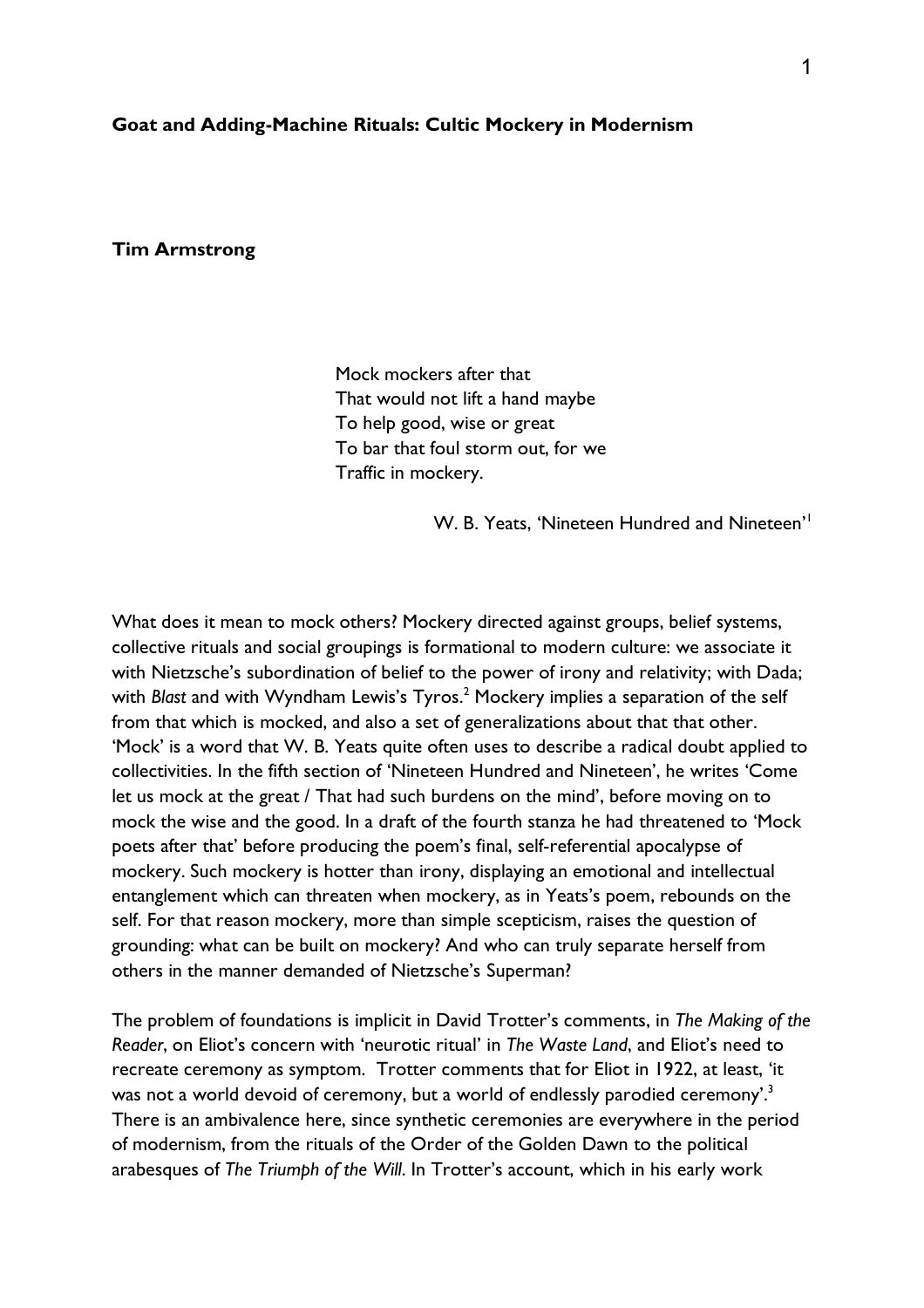#### **Goat and Adding-Machine Rituals: Cultic Mockery in Modernism**

# **Tim Armstrong**

Mock mockers after that That would not lift a hand maybe To help good, wise or great To bar that foul storm out, for we Traffic in mockery.

W. B. Yeats, 'Nineteen Hundred and Nineteen'<sup>1</sup>

What does it mean to mock others? Mockery directed against groups, belief systems, collective rituals and social groupings is formational to modern culture: we associate it with Nietzsche's subordination of belief to the power of irony and relativity; with Dada; with *Blast* and with Wyndham Lewis's Tyros.<sup>2</sup> Mockery implies a separation of the self from that which is mocked, and also a set of generalizations about that that other. 'Mock' is a word that W. B. Yeats quite often uses to describe a radical doubt applied to collectivities. In the fifth section of 'Nineteen Hundred and Nineteen', he writes 'Come let us mock at the great / That had such burdens on the mind', before moving on to mock the wise and the good. In a draft of the fourth stanza he had threatened to 'Mock poets after that' before producing the poem's final, self-referential apocalypse of mockery. Such mockery is hotter than irony, displaying an emotional and intellectual entanglement which can threaten when mockery, as in Yeats's poem, rebounds on the self. For that reason mockery, more than simple scepticism, raises the question of grounding: what can be built on mockery? And who can truly separate herself from others in the manner demanded of Nietzsche's Superman?

The problem of foundations is implicit in David Trotter's comments, in *The Making of the Reader*, on Eliot's concern with 'neurotic ritual' in *The Waste Land*, and Eliot's need to recreate ceremony as symptom. Trotter comments that for Eliot in 1922, at least, 'it was not a world devoid of ceremony, but a world of endlessly parodied ceremony'.<sup>3</sup> There is an ambivalence here, since synthetic ceremonies are everywhere in the period of modernism, from the rituals of the Order of the Golden Dawn to the political arabesques of *The Triumph of the Will*. In Trotter's account, which in his early work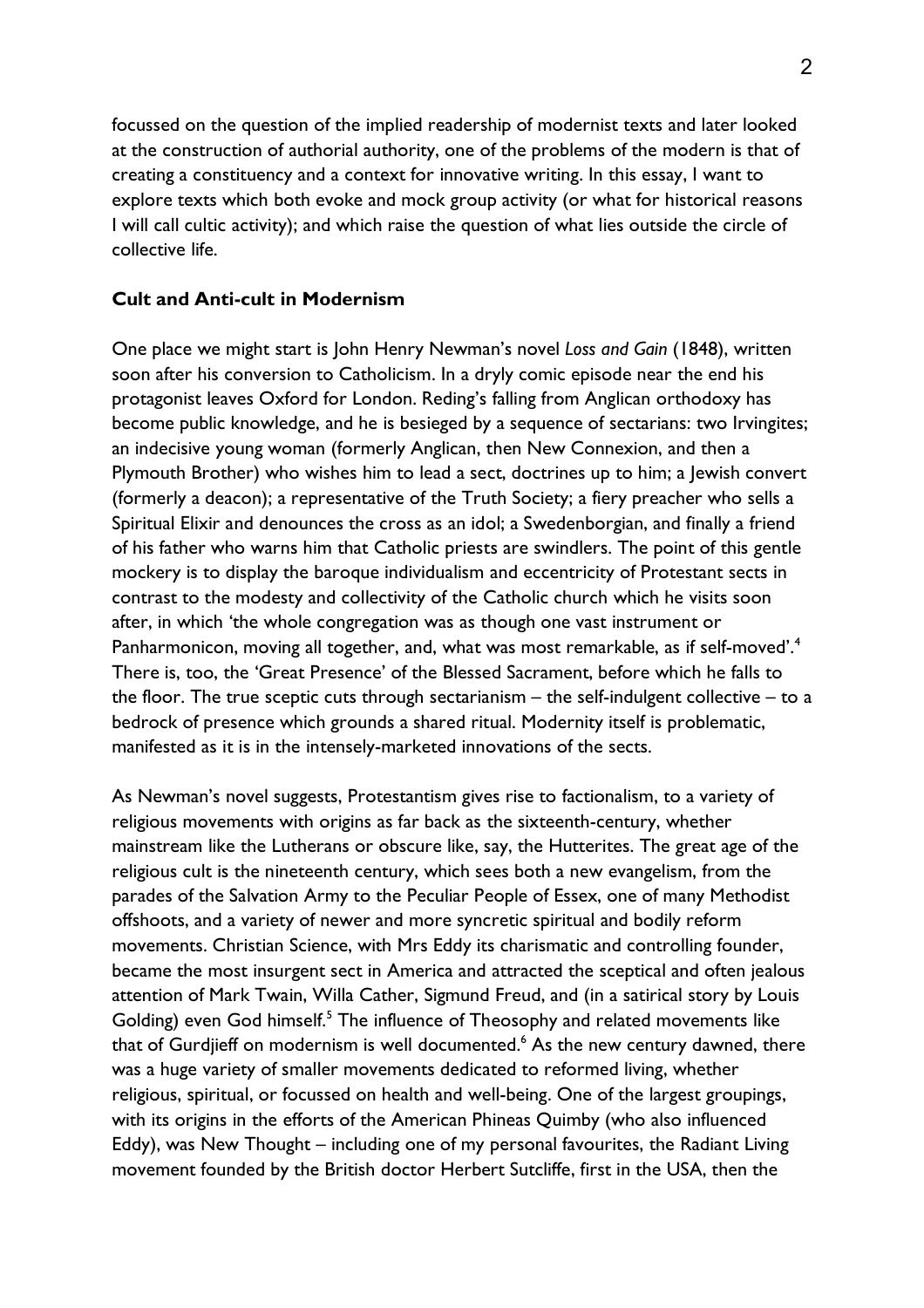focussed on the question of the implied readership of modernist texts and later looked at the construction of authorial authority, one of the problems of the modern is that of creating a constituency and a context for innovative writing. In this essay, I want to explore texts which both evoke and mock group activity (or what for historical reasons I will call cultic activity); and which raise the question of what lies outside the circle of collective life.

# **Cult and Anti-cult in Modernism**

One place we might start is John Henry Newman's novel *Loss and Gain* (1848), written soon after his conversion to Catholicism. In a dryly comic episode near the end his protagonist leaves Oxford for London. Reding's falling from Anglican orthodoxy has become public knowledge, and he is besieged by a sequence of sectarians: two Irvingites; an indecisive young woman (formerly Anglican, then New Connexion, and then a Plymouth Brother) who wishes him to lead a sect, doctrines up to him; a Jewish convert (formerly a deacon); a representative of the Truth Society; a fiery preacher who sells a Spiritual Elixir and denounces the cross as an idol; a Swedenborgian, and finally a friend of his father who warns him that Catholic priests are swindlers. The point of this gentle mockery is to display the baroque individualism and eccentricity of Protestant sects in contrast to the modesty and collectivity of the Catholic church which he visits soon after, in which 'the whole congregation was as though one vast instrument or Panharmonicon, moving all together, and, what was most remarkable, as if self-moved'.<sup>4</sup> There is, too, the 'Great Presence' of the Blessed Sacrament, before which he falls to the floor. The true sceptic cuts through sectarianism – the self-indulgent collective – to a bedrock of presence which grounds a shared ritual. Modernity itself is problematic, manifested as it is in the intensely-marketed innovations of the sects.

As Newman's novel suggests, Protestantism gives rise to factionalism, to a variety of religious movements with origins as far back as the sixteenth-century, whether mainstream like the Lutherans or obscure like, say, the Hutterites. The great age of the religious cult is the nineteenth century, which sees both a new evangelism, from the parades of the Salvation Army to the Peculiar People of Essex, one of many Methodist offshoots, and a variety of newer and more syncretic spiritual and bodily reform movements. Christian Science, with Mrs Eddy its charismatic and controlling founder, became the most insurgent sect in America and attracted the sceptical and often jealous attention of Mark Twain, Willa Cather, Sigmund Freud, and (in a satirical story by Louis Golding) even God himself.<sup>5</sup> The influence of Theosophy and related movements like that of Gurdjieff on modernism is well documented.<sup>6</sup> As the new century dawned, there was a huge variety of smaller movements dedicated to reformed living, whether religious, spiritual, or focussed on health and well-being. One of the largest groupings, with its origins in the efforts of the American Phineas Quimby (who also influenced Eddy), was New Thought – including one of my personal favourites, the Radiant Living movement founded by the British doctor Herbert Sutcliffe, first in the USA, then the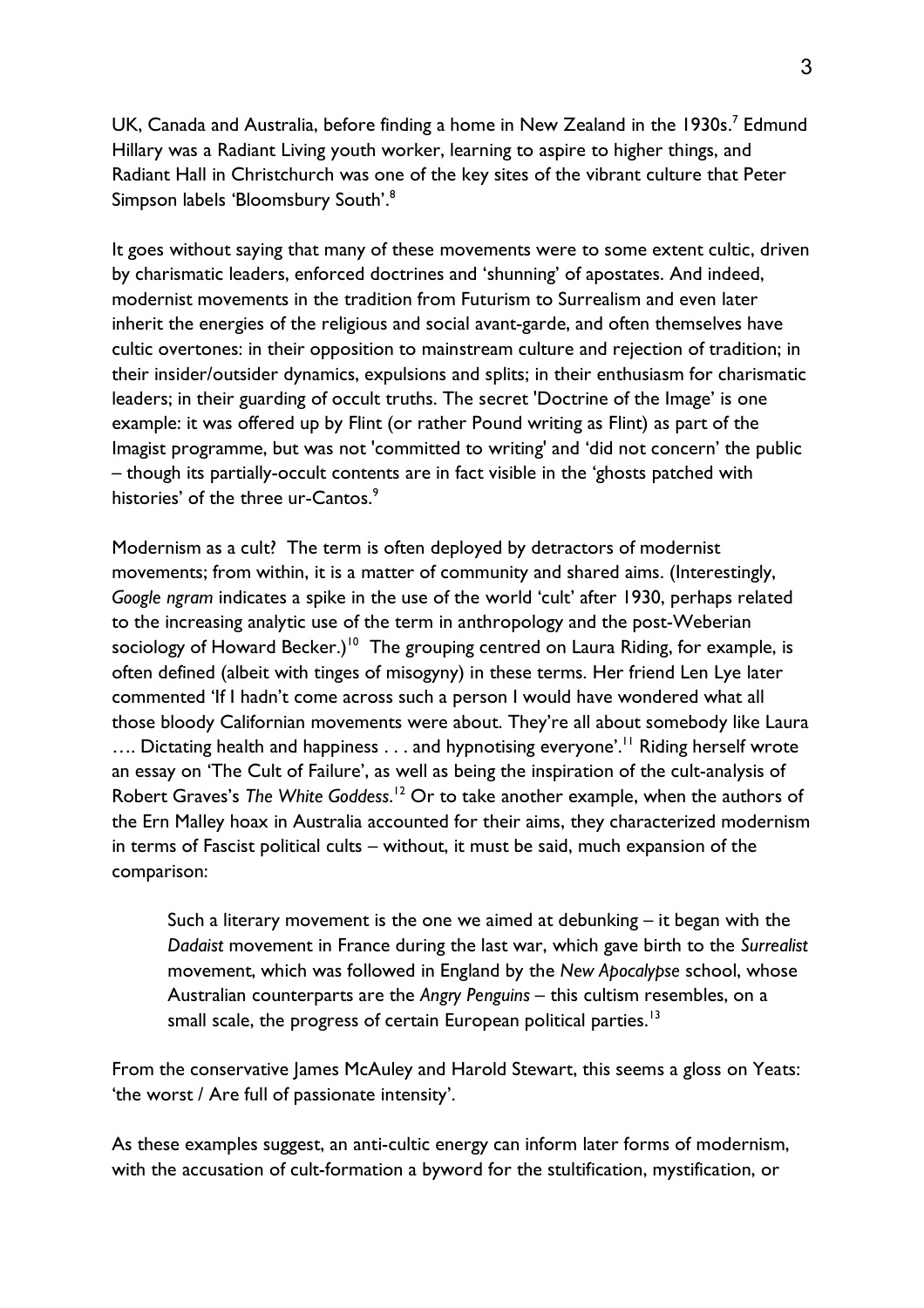UK, Canada and Australia, before finding a home in New Zealand in the 1930s.<sup>7</sup> Edmund Hillary was a Radiant Living youth worker, learning to aspire to higher things, and Radiant Hall in Christchurch was one of the key sites of the vibrant culture that Peter Simpson labels 'Bloomsbury South'.<sup>8</sup>

It goes without saying that many of these movements were to some extent cultic, driven by charismatic leaders, enforced doctrines and 'shunning' of apostates. And indeed, modernist movements in the tradition from Futurism to Surrealism and even later inherit the energies of the religious and social avant-garde, and often themselves have cultic overtones: in their opposition to mainstream culture and rejection of tradition; in their insider/outsider dynamics, expulsions and splits; in their enthusiasm for charismatic leaders; in their guarding of occult truths. The secret 'Doctrine of the Image' is one example: it was offered up by Flint (or rather Pound writing as Flint) as part of the Imagist programme, but was not 'committed to writing' and 'did not concern' the public – though its partially-occult contents are in fact visible in the 'ghosts patched with histories' of the three ur-Cantos. $\degree$ 

Modernism as a cult? The term is often deployed by detractors of modernist movements; from within, it is a matter of community and shared aims. (Interestingly, *Google ngram* indicates a spike in the use of the world 'cult' after 1930, perhaps related to the increasing analytic use of the term in anthropology and the post-Weberian sociology of Howard Becker.)<sup>10</sup> The grouping centred on Laura Riding, for example, is often defined (albeit with tinges of misogyny) in these terms. Her friend Len Lye later commented 'If I hadn't come across such a person I would have wondered what all those bloody Californian movements were about. They're all about somebody like Laura .... Dictating health and happiness . . . and hypnotising everyone'.<sup>11</sup> Riding herself wrote an essay on 'The Cult of Failure', as well as being the inspiration of the cult-analysis of Robert Graves's *The White Goddess*. <sup>12</sup> Or to take another example, when the authors of the Ern Malley hoax in Australia accounted for their aims, they characterized modernism in terms of Fascist political cults – without, it must be said, much expansion of the comparison:

Such a literary movement is the one we aimed at debunking – it began with the *Dadaist* movement in France during the last war, which gave birth to the *Surrealist* movement, which was followed in England by the *New Apocalypse* school, whose Australian counterparts are the *Angry Penguins* – this cultism resembles, on a small scale, the progress of certain European political parties. $^{\text{I3}}$ 

From the conservative James McAuley and Harold Stewart, this seems a gloss on Yeats: 'the worst / Are full of passionate intensity'.

As these examples suggest, an anti-cultic energy can inform later forms of modernism, with the accusation of cult-formation a byword for the stultification, mystification, or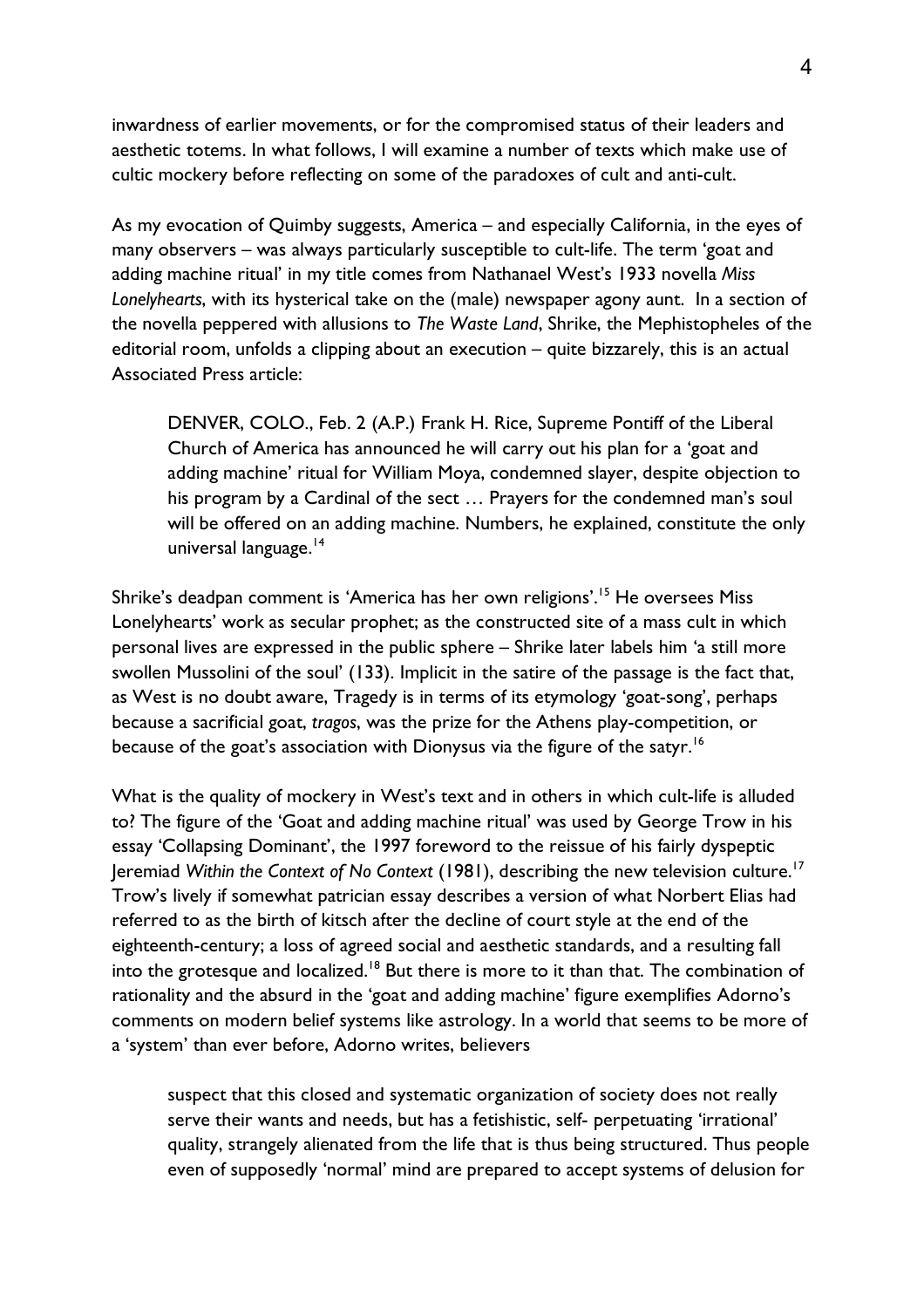inwardness of earlier movements, or for the compromised status of their leaders and aesthetic totems. In what follows, I will examine a number of texts which make use of cultic mockery before reflecting on some of the paradoxes of cult and anti-cult.

As my evocation of Quimby suggests, America – and especially California, in the eyes of many observers – was always particularly susceptible to cult-life. The term 'goat and adding machine ritual' in my title comes from Nathanael West's 1933 novella *Miss Lonelyhearts*, with its hysterical take on the (male) newspaper agony aunt. In a section of the novella peppered with allusions to *The Waste Land*, Shrike, the Mephistopheles of the editorial room, unfolds a clipping about an execution – quite bizzarely, this is an actual Associated Press article:

DENVER, COLO., Feb. 2 (A.P.) Frank H. Rice, Supreme Pontiff of the Liberal Church of America has announced he will carry out his plan for a 'goat and adding machine' ritual for William Moya, condemned slayer, despite objection to his program by a Cardinal of the sect … Prayers for the condemned man's soul will be offered on an adding machine. Numbers, he explained, constitute the only universal language.<sup>14</sup>

Shrike's deadpan comment is 'America has her own religions'. <sup>15</sup> He oversees Miss Lonelyhearts' work as secular prophet; as the constructed site of a mass cult in which personal lives are expressed in the public sphere – Shrike later labels him 'a still more swollen Mussolini of the soul' (133). Implicit in the satire of the passage is the fact that, as West is no doubt aware, Tragedy is in terms of its etymology 'goat-song', perhaps because a sacrificial goat, *tragos*, was the prize for the Athens play-competition, or because of the goat's association with Dionysus via the figure of the satyr.<sup>16</sup>

What is the quality of mockery in West's text and in others in which cult-life is alluded to? The figure of the 'Goat and adding machine ritual' was used by George Trow in his essay 'Collapsing Dominant', the 1997 foreword to the reissue of his fairly dyspeptic Jeremiad Within the Context of No Context (1981), describing the new television culture.<sup>17</sup> Trow's lively if somewhat patrician essay describes a version of what Norbert Elias had referred to as the birth of kitsch after the decline of court style at the end of the eighteenth-century; a loss of agreed social and aesthetic standards, and a resulting fall into the grotesque and localized.<sup>18</sup> But there is more to it than that. The combination of rationality and the absurd in the 'goat and adding machine' figure exemplifies Adorno's comments on modern belief systems like astrology. In a world that seems to be more of a 'system' than ever before, Adorno writes, believers

suspect that this closed and systematic organization of society does not really serve their wants and needs, but has a fetishistic, self- perpetuating 'irrational' quality, strangely alienated from the life that is thus being structured. Thus people even of supposedly 'normal' mind are prepared to accept systems of delusion for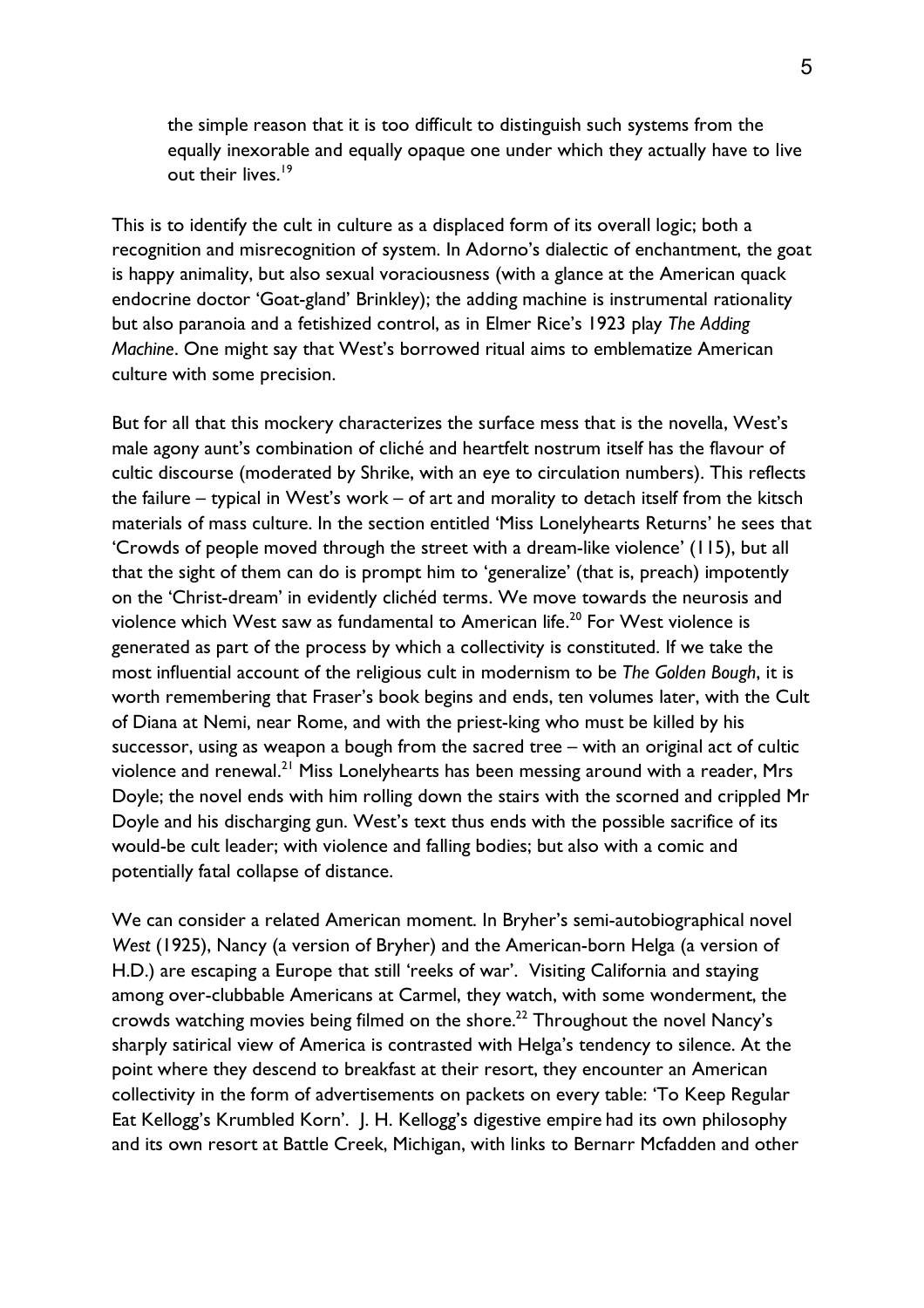the simple reason that it is too difficult to distinguish such systems from the equally inexorable and equally opaque one under which they actually have to live out their lives.<sup>19</sup>

This is to identify the cult in culture as a displaced form of its overall logic; both a recognition and misrecognition of system. In Adorno's dialectic of enchantment, the goat is happy animality, but also sexual voraciousness (with a glance at the American quack endocrine doctor 'Goat-gland' Brinkley); the adding machine is instrumental rationality but also paranoia and a fetishized control, as in Elmer Rice's 1923 play *The Adding Machine*. One might say that West's borrowed ritual aims to emblematize American culture with some precision.

But for all that this mockery characterizes the surface mess that is the novella, West's male agony aunt's combination of cliché and heartfelt nostrum itself has the flavour of cultic discourse (moderated by Shrike, with an eye to circulation numbers). This reflects the failure – typical in West's work – of art and morality to detach itself from the kitsch materials of mass culture. In the section entitled 'Miss Lonelyhearts Returns' he sees that 'Crowds of people moved through the street with a dream-like violence' (115), but all that the sight of them can do is prompt him to 'generalize' (that is, preach) impotently on the 'Christ-dream' in evidently clichéd terms. We move towards the neurosis and violence which West saw as fundamental to American life.<sup>20</sup> For West violence is generated as part of the process by which a collectivity is constituted. If we take the most influential account of the religious cult in modernism to be *The Golden Bough*, it is worth remembering that Fraser's book begins and ends, ten volumes later, with the Cult of Diana at Nemi, near Rome, and with the priest-king who must be killed by his successor, using as weapon a bough from the sacred tree – with an original act of cultic violence and renewal.<sup>21</sup> Miss Lonelyhearts has been messing around with a reader, Mrs Doyle; the novel ends with him rolling down the stairs with the scorned and crippled Mr Doyle and his discharging gun. West's text thus ends with the possible sacrifice of its would-be cult leader; with violence and falling bodies; but also with a comic and potentially fatal collapse of distance.

We can consider a related American moment. In Bryher's semi-autobiographical novel *West* (1925), Nancy (a version of Bryher) and the American-born Helga (a version of H.D.) are escaping a Europe that still 'reeks of war'. Visiting California and staying among over-clubbable Americans at Carmel, they watch, with some wonderment, the crowds watching movies being filmed on the shore.<sup>22</sup> Throughout the novel Nancy's sharply satirical view of America is contrasted with Helga's tendency to silence. At the point where they descend to breakfast at their resort, they encounter an American collectivity in the form of advertisements on packets on every table: 'To Keep Regular Eat Kellogg's Krumbled Korn'. J. H. Kellogg's digestive empire had its own philosophy and its own resort at Battle Creek, Michigan, with links to Bernarr Mcfadden and other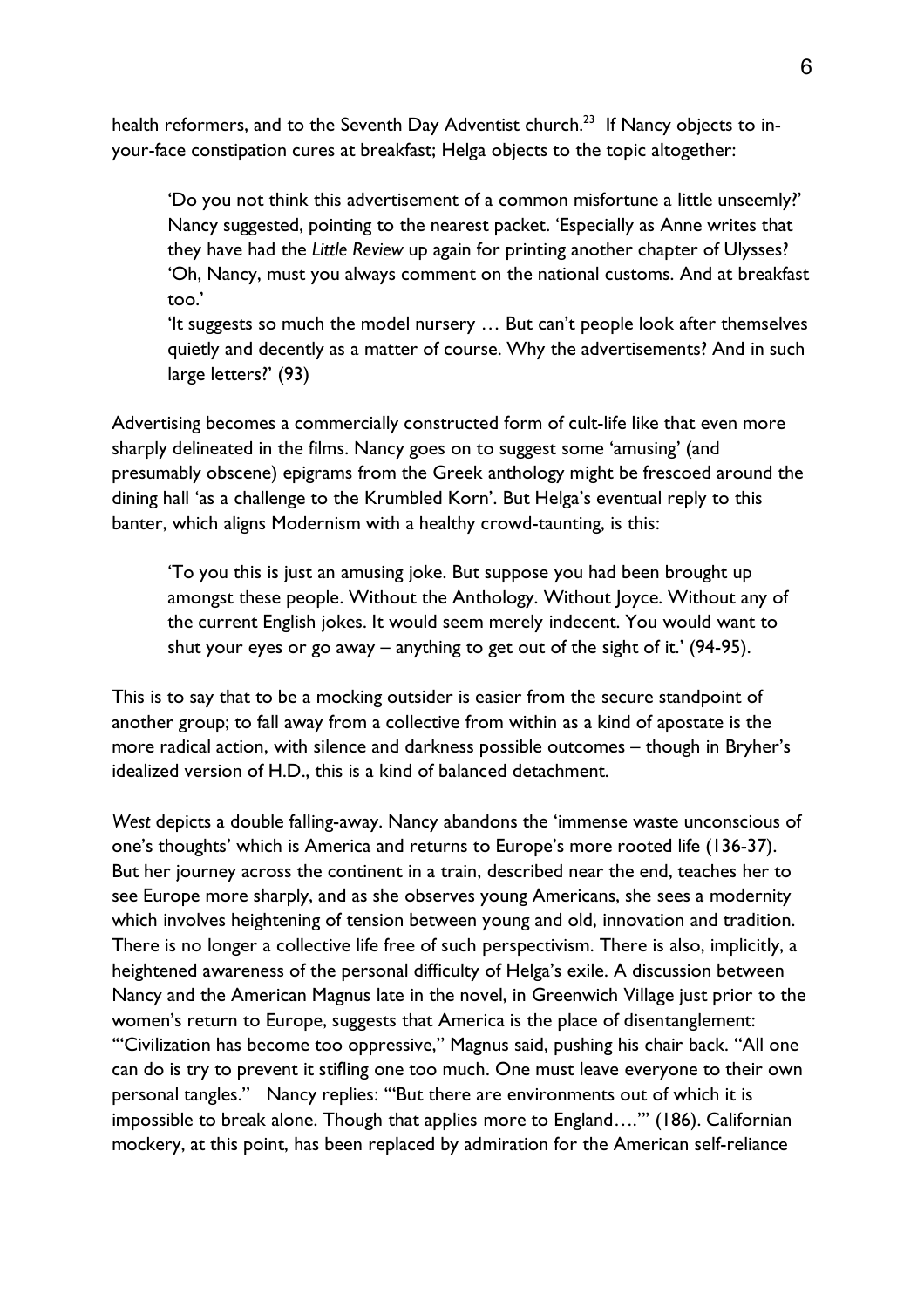health reformers, and to the Seventh Day Adventist church.<sup>23</sup> If Nancy objects to inyour-face constipation cures at breakfast; Helga objects to the topic altogether:

'Do you not think this advertisement of a common misfortune a little unseemly?' Nancy suggested, pointing to the nearest packet. 'Especially as Anne writes that they have had the *Little Review* up again for printing another chapter of Ulysses? 'Oh, Nancy, must you always comment on the national customs. And at breakfast too.'

'It suggests so much the model nursery … But can't people look after themselves quietly and decently as a matter of course. Why the advertisements? And in such large letters?' (93)

Advertising becomes a commercially constructed form of cult-life like that even more sharply delineated in the films. Nancy goes on to suggest some 'amusing' (and presumably obscene) epigrams from the Greek anthology might be frescoed around the dining hall 'as a challenge to the Krumbled Korn'. But Helga's eventual reply to this banter, which aligns Modernism with a healthy crowd-taunting, is this:

'To you this is just an amusing joke. But suppose you had been brought up amongst these people. Without the Anthology. Without Joyce. Without any of the current English jokes. It would seem merely indecent. You would want to shut your eyes or go away – anything to get out of the sight of it.' (94-95).

This is to say that to be a mocking outsider is easier from the secure standpoint of another group; to fall away from a collective from within as a kind of apostate is the more radical action, with silence and darkness possible outcomes – though in Bryher's idealized version of H.D., this is a kind of balanced detachment.

*West* depicts a double falling-away. Nancy abandons the 'immense waste unconscious of one's thoughts' which is America and returns to Europe's more rooted life (136-37). But her journey across the continent in a train, described near the end, teaches her to see Europe more sharply, and as she observes young Americans, she sees a modernity which involves heightening of tension between young and old, innovation and tradition. There is no longer a collective life free of such perspectivism. There is also, implicitly, a heightened awareness of the personal difficulty of Helga's exile. A discussion between Nancy and the American Magnus late in the novel, in Greenwich Village just prior to the women's return to Europe, suggests that America is the place of disentanglement: '"Civilization has become too oppressive," Magnus said, pushing his chair back. "All one can do is try to prevent it stifling one too much. One must leave everyone to their own personal tangles." Nancy replies: '"But there are environments out of which it is impossible to break alone. Though that applies more to England…."' (186). Californian mockery, at this point, has been replaced by admiration for the American self-reliance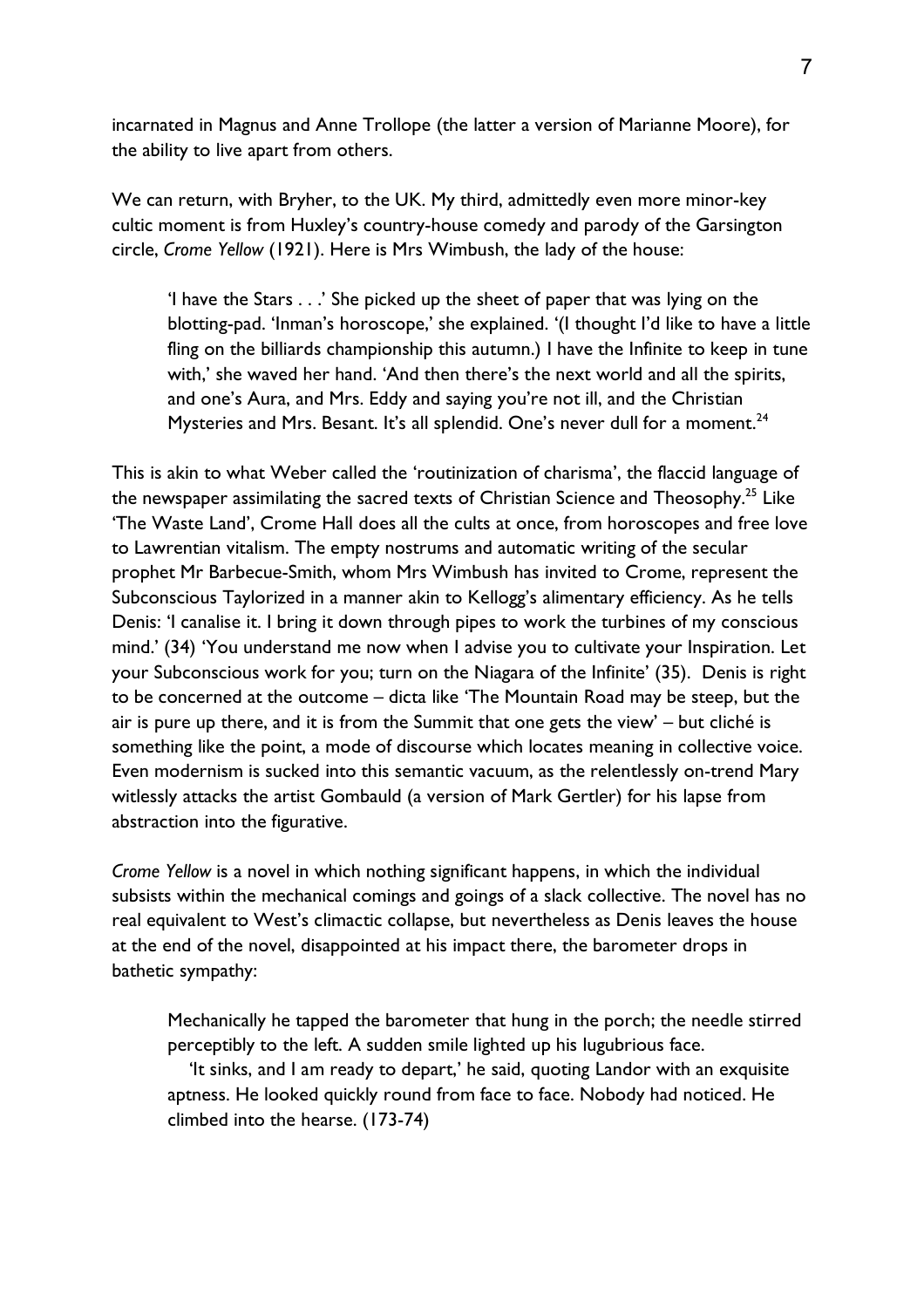incarnated in Magnus and Anne Trollope (the latter a version of Marianne Moore), for the ability to live apart from others.

We can return, with Bryher, to the UK. My third, admittedly even more minor-key cultic moment is from Huxley's country-house comedy and parody of the Garsington circle, *Crome Yellow* (1921). Here is Mrs Wimbush, the lady of the house:

'I have the Stars . . .' She picked up the sheet of paper that was lying on the blotting-pad. 'Inman's horoscope,' she explained. '(I thought I'd like to have a little fling on the billiards championship this autumn.) I have the Infinite to keep in tune with,' she waved her hand. 'And then there's the next world and all the spirits, and one's Aura, and Mrs. Eddy and saying you're not ill, and the Christian Mysteries and Mrs. Besant. It's all splendid. One's never dull for a moment.<sup>24</sup>

This is akin to what Weber called the 'routinization of charisma', the flaccid language of the newspaper assimilating the sacred texts of Christian Science and Theosophy.<sup>25</sup> Like 'The Waste Land', Crome Hall does all the cults at once, from horoscopes and free love to Lawrentian vitalism. The empty nostrums and automatic writing of the secular prophet Mr Barbecue-Smith, whom Mrs Wimbush has invited to Crome, represent the Subconscious Taylorized in a manner akin to Kellogg's alimentary efficiency. As he tells Denis: 'I canalise it. I bring it down through pipes to work the turbines of my conscious mind.' (34) 'You understand me now when I advise you to cultivate your Inspiration. Let your Subconscious work for you; turn on the Niagara of the Infinite' (35). Denis is right to be concerned at the outcome – dicta like 'The Mountain Road may be steep, but the air is pure up there, and it is from the Summit that one gets the view' – but cliché is something like the point, a mode of discourse which locates meaning in collective voice. Even modernism is sucked into this semantic vacuum, as the relentlessly on-trend Mary witlessly attacks the artist Gombauld (a version of Mark Gertler) for his lapse from abstraction into the figurative.

*Crome Yellow* is a novel in which nothing significant happens, in which the individual subsists within the mechanical comings and goings of a slack collective. The novel has no real equivalent to West's climactic collapse, but nevertheless as Denis leaves the house at the end of the novel, disappointed at his impact there, the barometer drops in bathetic sympathy:

Mechanically he tapped the barometer that hung in the porch; the needle stirred perceptibly to the left. A sudden smile lighted up his lugubrious face.

 'It sinks, and I am ready to depart,' he said, quoting Landor with an exquisite aptness. He looked quickly round from face to face. Nobody had noticed. He climbed into the hearse. (173-74)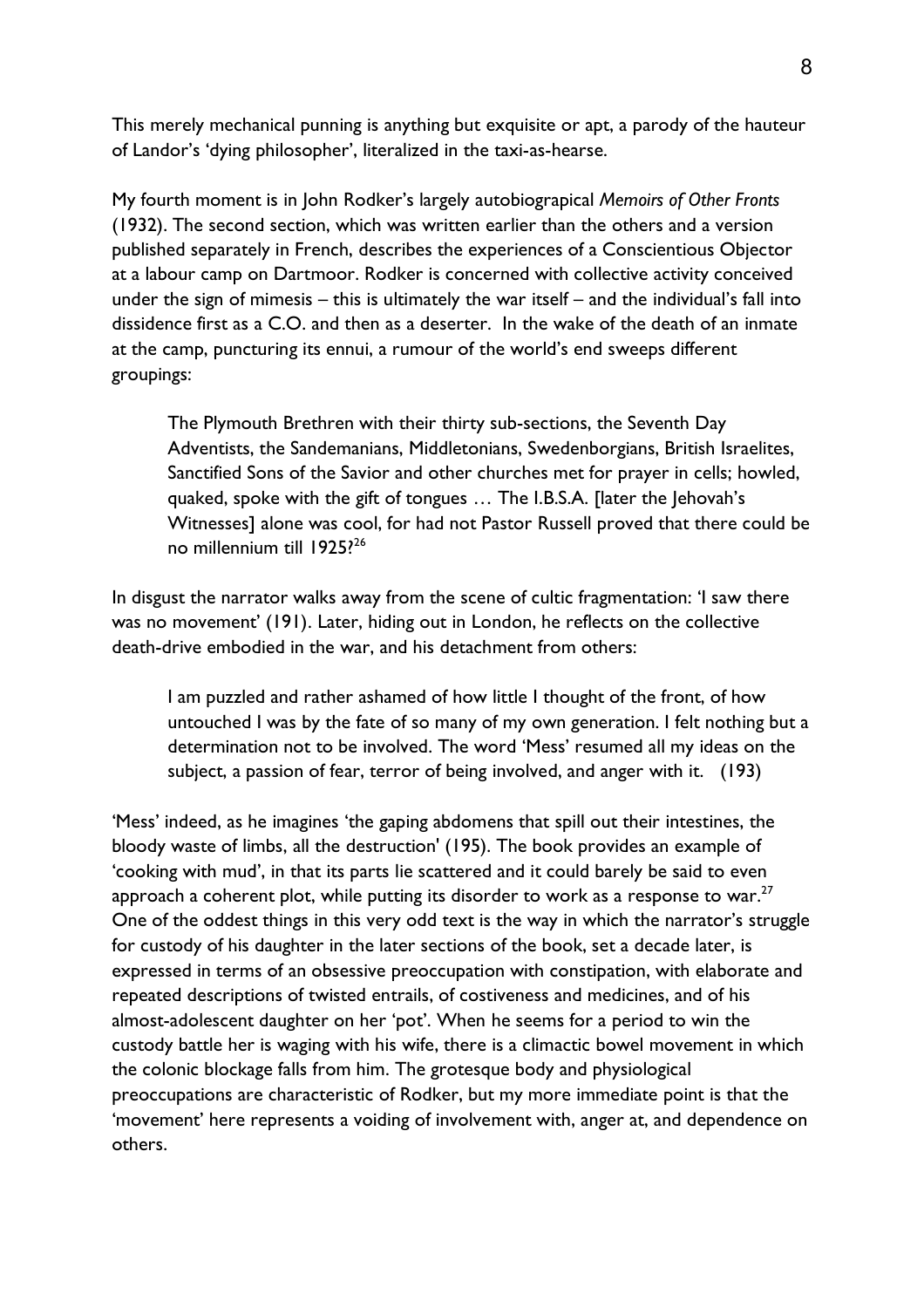This merely mechanical punning is anything but exquisite or apt, a parody of the hauteur of Landor's 'dying philosopher', literalized in the taxi-as-hearse.

My fourth moment is in John Rodker's largely autobiograpical *Memoirs of Other Fronts* (1932). The second section, which was written earlier than the others and a version published separately in French, describes the experiences of a Conscientious Objector at a labour camp on Dartmoor. Rodker is concerned with collective activity conceived under the sign of mimesis – this is ultimately the war itself – and the individual's fall into dissidence first as a C.O. and then as a deserter. In the wake of the death of an inmate at the camp, puncturing its ennui, a rumour of the world's end sweeps different groupings:

The Plymouth Brethren with their thirty sub-sections, the Seventh Day Adventists, the Sandemanians, Middletonians, Swedenborgians, British Israelites, Sanctified Sons of the Savior and other churches met for prayer in cells; howled, quaked, spoke with the gift of tongues … The I.B.S.A. [later the Jehovah's Witnesses] alone was cool, for had not Pastor Russell proved that there could be no millennium till 1925?<sup>26</sup>

In disgust the narrator walks away from the scene of cultic fragmentation: 'I saw there was no movement' (191). Later, hiding out in London, he reflects on the collective death-drive embodied in the war, and his detachment from others:

I am puzzled and rather ashamed of how little I thought of the front, of how untouched I was by the fate of so many of my own generation. I felt nothing but a determination not to be involved. The word 'Mess' resumed all my ideas on the subject, a passion of fear, terror of being involved, and anger with it. (193)

'Mess' indeed, as he imagines 'the gaping abdomens that spill out their intestines, the bloody waste of limbs, all the destruction' (195). The book provides an example of 'cooking with mud', in that its parts lie scattered and it could barely be said to even approach a coherent plot, while putting its disorder to work as a response to war. $27$ One of the oddest things in this very odd text is the way in which the narrator's struggle for custody of his daughter in the later sections of the book, set a decade later, is expressed in terms of an obsessive preoccupation with constipation, with elaborate and repeated descriptions of twisted entrails, of costiveness and medicines, and of his almost-adolescent daughter on her 'pot'. When he seems for a period to win the custody battle her is waging with his wife, there is a climactic bowel movement in which the colonic blockage falls from him. The grotesque body and physiological preoccupations are characteristic of Rodker, but my more immediate point is that the 'movement' here represents a voiding of involvement with, anger at, and dependence on others.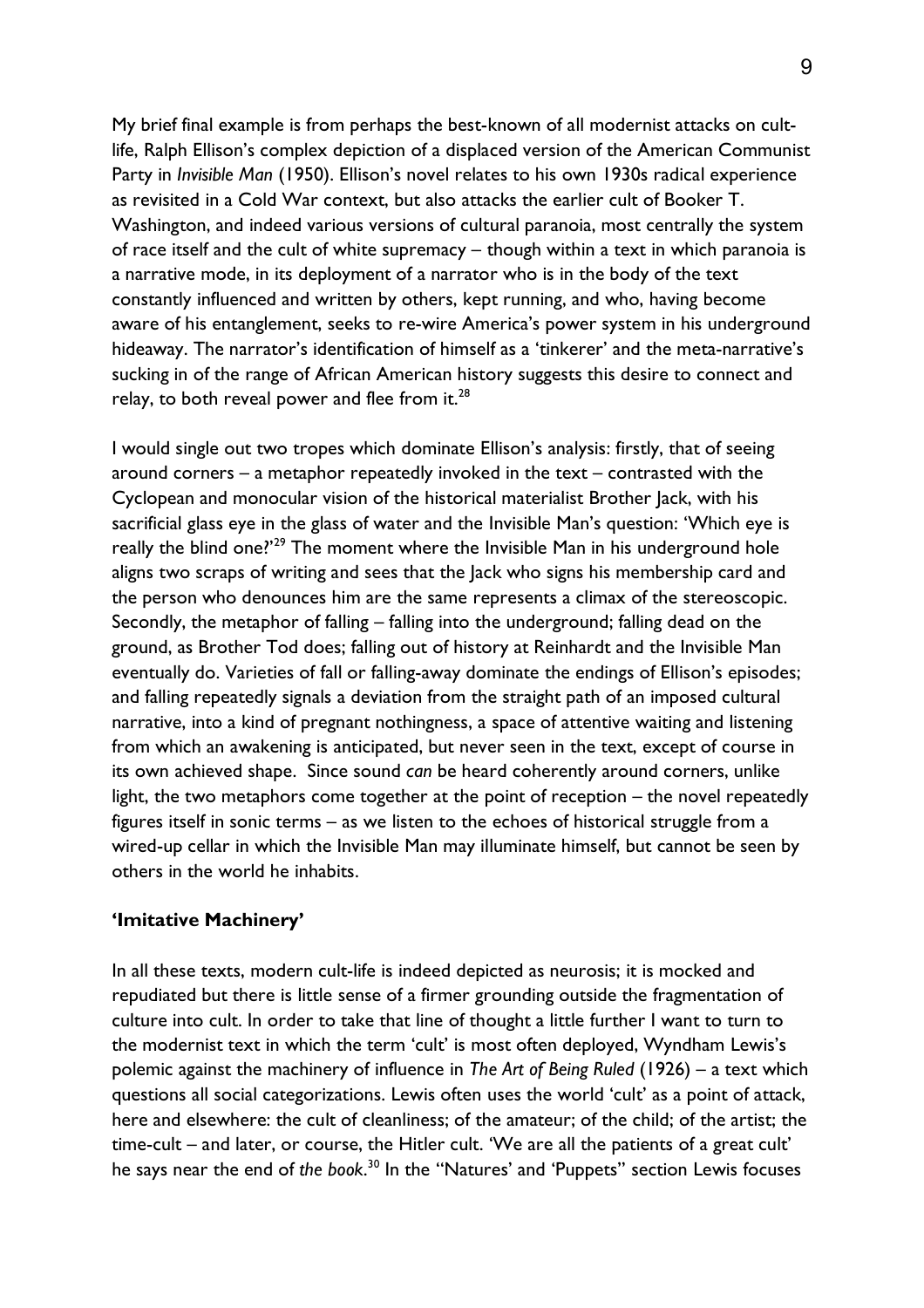My brief final example is from perhaps the best-known of all modernist attacks on cultlife, Ralph Ellison's complex depiction of a displaced version of the American Communist Party in *Invisible Man* (1950). Ellison's novel relates to his own 1930s radical experience as revisited in a Cold War context, but also attacks the earlier cult of Booker T. Washington, and indeed various versions of cultural paranoia, most centrally the system of race itself and the cult of white supremacy – though within a text in which paranoia is a narrative mode, in its deployment of a narrator who is in the body of the text constantly influenced and written by others, kept running, and who, having become aware of his entanglement, seeks to re-wire America's power system in his underground hideaway. The narrator's identification of himself as a 'tinkerer' and the meta-narrative's sucking in of the range of African American history suggests this desire to connect and relay, to both reveal power and flee from it. $^{28}$ 

I would single out two tropes which dominate Ellison's analysis: firstly, that of seeing around corners – a metaphor repeatedly invoked in the text – contrasted with the Cyclopean and monocular vision of the historical materialist Brother Jack, with his sacrificial glass eye in the glass of water and the Invisible Man's question: 'Which eye is really the blind one?'<sup>29</sup> The moment where the Invisible Man in his underground hole aligns two scraps of writing and sees that the Jack who signs his membership card and the person who denounces him are the same represents a climax of the stereoscopic. Secondly, the metaphor of falling – falling into the underground; falling dead on the ground, as Brother Tod does; falling out of history at Reinhardt and the Invisible Man eventually do. Varieties of fall or falling-away dominate the endings of Ellison's episodes; and falling repeatedly signals a deviation from the straight path of an imposed cultural narrative, into a kind of pregnant nothingness, a space of attentive waiting and listening from which an awakening is anticipated, but never seen in the text, except of course in its own achieved shape. Since sound *can* be heard coherently around corners, unlike light, the two metaphors come together at the point of reception – the novel repeatedly figures itself in sonic terms – as we listen to the echoes of historical struggle from a wired-up cellar in which the Invisible Man may illuminate himself, but cannot be seen by others in the world he inhabits.

### **'Imitative Machinery'**

In all these texts, modern cult-life is indeed depicted as neurosis; it is mocked and repudiated but there is little sense of a firmer grounding outside the fragmentation of culture into cult. In order to take that line of thought a little further I want to turn to the modernist text in which the term 'cult' is most often deployed, Wyndham Lewis's polemic against the machinery of influence in *The Art of Being Ruled* (1926) – a text which questions all social categorizations. Lewis often uses the world 'cult' as a point of attack, here and elsewhere: the cult of cleanliness; of the amateur; of the child; of the artist; the time-cult – and later, or course, the Hitler cult. 'We are all the patients of a great cult' he says near the end of *the book*. 30 In the ''Natures' and 'Puppets'' section Lewis focuses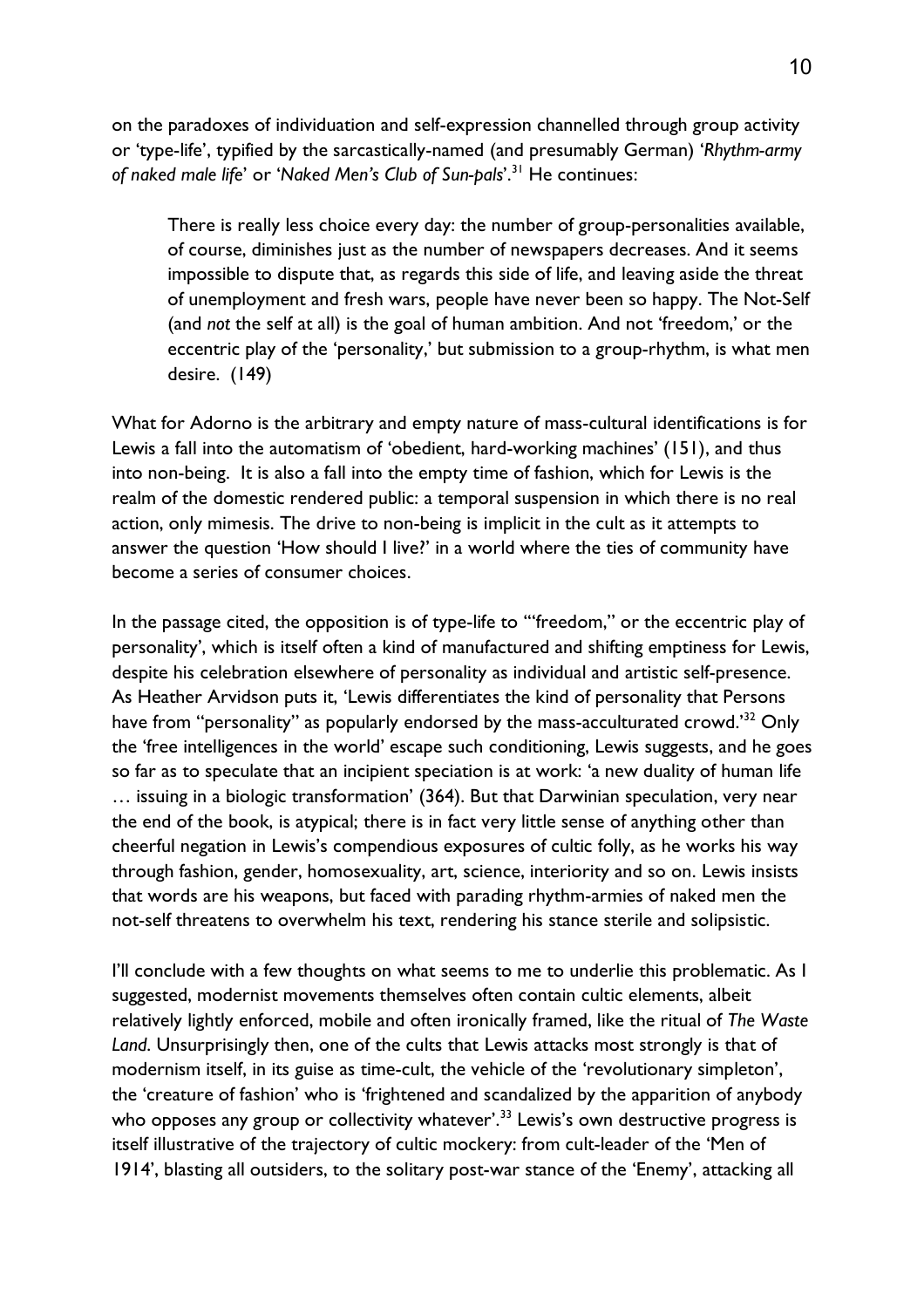on the paradoxes of individuation and self-expression channelled through group activity or 'type-life', typified by the sarcastically-named (and presumably German) '*Rhythm-army of naked male life*' or '*Naked Men's Club of Sun-pals*'.<sup>31</sup> He continues:

There is really less choice every day: the number of group-personalities available, of course, diminishes just as the number of newspapers decreases. And it seems impossible to dispute that, as regards this side of life, and leaving aside the threat of unemployment and fresh wars, people have never been so happy. The Not-Self (and *not* the self at all) is the goal of human ambition. And not 'freedom,' or the eccentric play of the 'personality,' but submission to a group-rhythm, is what men desire. (149)

What for Adorno is the arbitrary and empty nature of mass-cultural identifications is for Lewis a fall into the automatism of 'obedient, hard-working machines' (151), and thus into non-being. It is also a fall into the empty time of fashion, which for Lewis is the realm of the domestic rendered public: a temporal suspension in which there is no real action, only mimesis. The drive to non-being is implicit in the cult as it attempts to answer the question 'How should I live?' in a world where the ties of community have become a series of consumer choices.

In the passage cited, the opposition is of type-life to '"freedom," or the eccentric play of personality', which is itself often a kind of manufactured and shifting emptiness for Lewis, despite his celebration elsewhere of personality as individual and artistic self-presence. As Heather Arvidson puts it, 'Lewis differentiates the kind of personality that Persons have from "personality" as popularly endorsed by the mass-acculturated crowd.<sup>'32</sup> Only the 'free intelligences in the world' escape such conditioning, Lewis suggests, and he goes so far as to speculate that an incipient speciation is at work: 'a new duality of human life … issuing in a biologic transformation' (364). But that Darwinian speculation, very near the end of the book, is atypical; there is in fact very little sense of anything other than cheerful negation in Lewis's compendious exposures of cultic folly, as he works his way through fashion, gender, homosexuality, art, science, interiority and so on. Lewis insists that words are his weapons, but faced with parading rhythm-armies of naked men the not-self threatens to overwhelm his text, rendering his stance sterile and solipsistic.

I'll conclude with a few thoughts on what seems to me to underlie this problematic. As I suggested, modernist movements themselves often contain cultic elements, albeit relatively lightly enforced, mobile and often ironically framed, like the ritual of *The Waste Land*. Unsurprisingly then, one of the cults that Lewis attacks most strongly is that of modernism itself, in its guise as time-cult, the vehicle of the 'revolutionary simpleton', the 'creature of fashion' who is 'frightened and scandalized by the apparition of anybody who opposes any group or collectivity whatever'.<sup>33</sup> Lewis's own destructive progress is itself illustrative of the trajectory of cultic mockery: from cult-leader of the 'Men of 1914', blasting all outsiders, to the solitary post-war stance of the 'Enemy', attacking all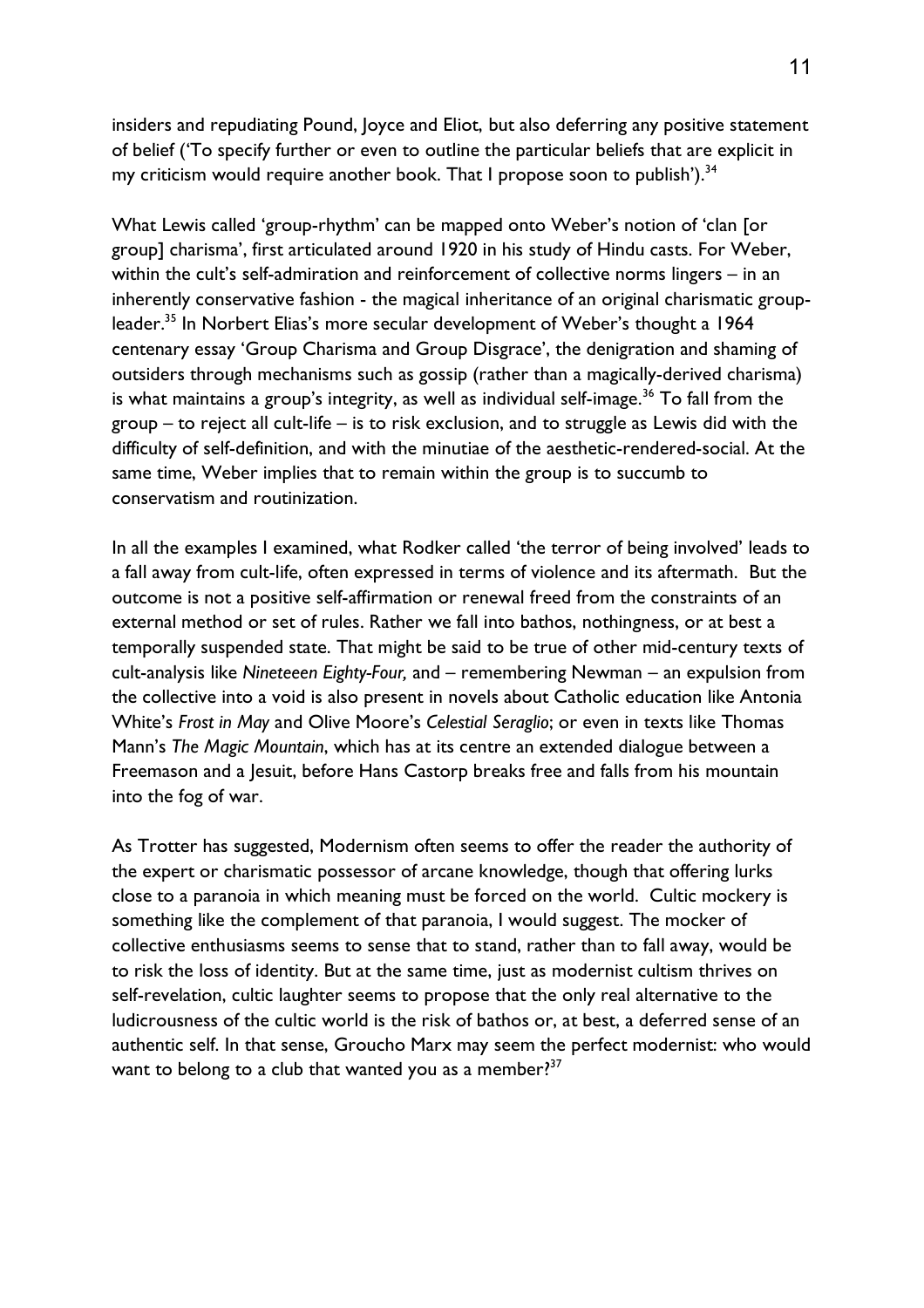insiders and repudiating Pound, Joyce and Eliot, but also deferring any positive statement of belief ('To specify further or even to outline the particular beliefs that are explicit in my criticism would require another book. That I propose soon to publish').<sup>34</sup>

What Lewis called 'group-rhythm' can be mapped onto Weber's notion of 'clan [or group] charisma', first articulated around 1920 in his study of Hindu casts. For Weber, within the cult's self-admiration and reinforcement of collective norms lingers – in an inherently conservative fashion - the magical inheritance of an original charismatic groupleader.<sup>35</sup> In Norbert Elias's more secular development of Weber's thought a 1964 centenary essay 'Group Charisma and Group Disgrace', the denigration and shaming of outsiders through mechanisms such as gossip (rather than a magically-derived charisma) is what maintains a group's integrity, as well as individual self-image.<sup>36</sup> To fall from the group – to reject all cult-life – is to risk exclusion, and to struggle as Lewis did with the difficulty of self-definition, and with the minutiae of the aesthetic-rendered-social. At the same time, Weber implies that to remain within the group is to succumb to conservatism and routinization.

In all the examples I examined, what Rodker called 'the terror of being involved' leads to a fall away from cult-life, often expressed in terms of violence and its aftermath. But the outcome is not a positive self-affirmation or renewal freed from the constraints of an external method or set of rules. Rather we fall into bathos, nothingness, or at best a temporally suspended state. That might be said to be true of other mid-century texts of cult-analysis like *Nineteeen Eighty-Four,* and – remembering Newman – an expulsion from the collective into a void is also present in novels about Catholic education like Antonia White's *Frost in May* and Olive Moore's *Celestial Seraglio*; or even in texts like Thomas Mann's *The Magic Mountain*, which has at its centre an extended dialogue between a Freemason and a Jesuit, before Hans Castorp breaks free and falls from his mountain into the fog of war.

As Trotter has suggested, Modernism often seems to offer the reader the authority of the expert or charismatic possessor of arcane knowledge, though that offering lurks close to a paranoia in which meaning must be forced on the world. Cultic mockery is something like the complement of that paranoia, I would suggest. The mocker of collective enthusiasms seems to sense that to stand, rather than to fall away, would be to risk the loss of identity. But at the same time, just as modernist cultism thrives on self-revelation, cultic laughter seems to propose that the only real alternative to the ludicrousness of the cultic world is the risk of bathos or, at best, a deferred sense of an authentic self. In that sense, Groucho Marx may seem the perfect modernist: who would want to belong to a club that wanted you as a member?<sup>37</sup>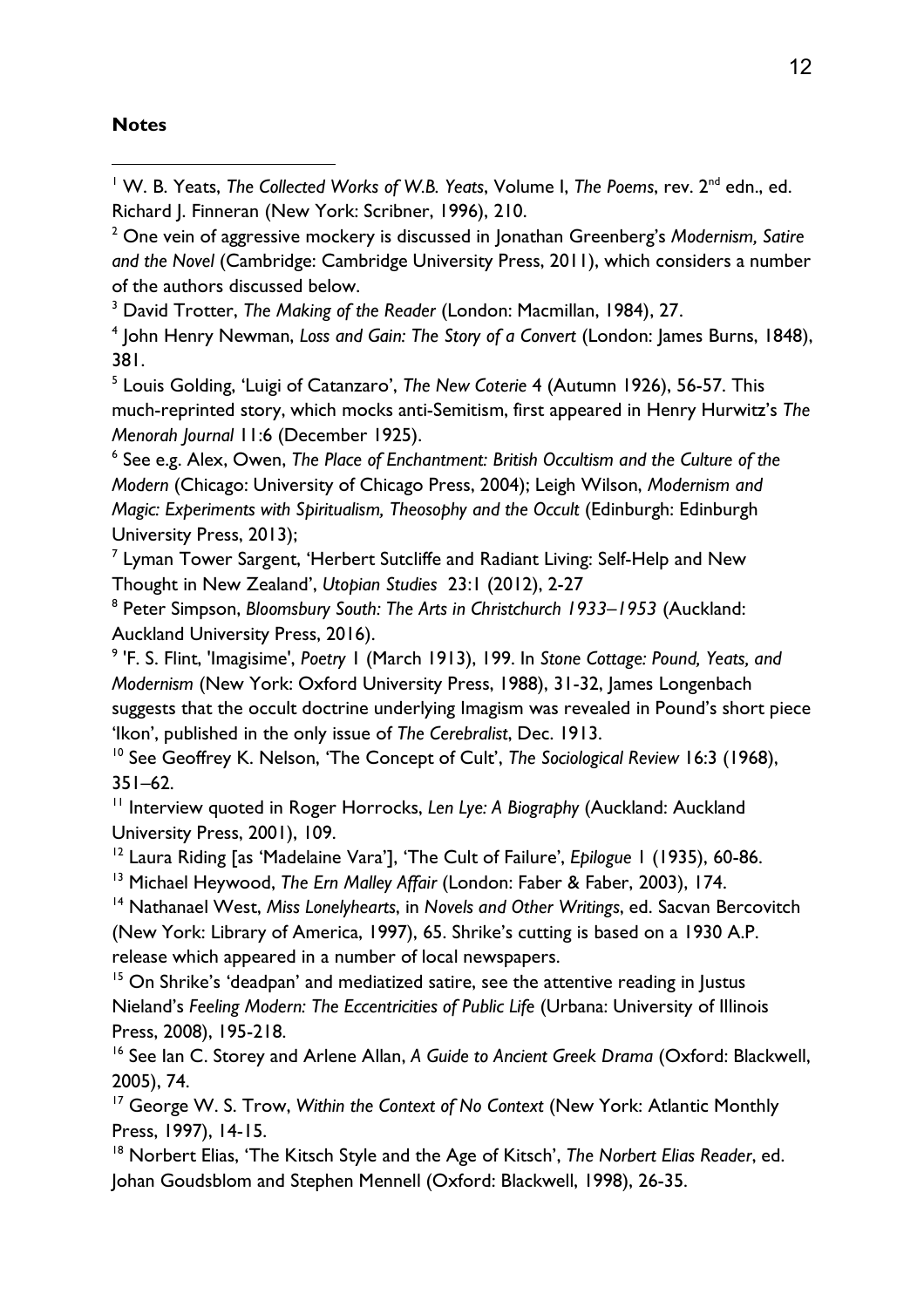### **Notes**

l

<sup>1</sup> W. B. Yeats, *The Collected Works of W.B. Yeats*, Volume I, *The Poems*, rev. 2<sup>nd</sup> edn., ed. Richard J. Finneran (New York: Scribner, 1996), 210.

2 One vein of aggressive mockery is discussed in Jonathan Greenberg's *Modernism, Satire and the Novel* (Cambridge: Cambridge University Press, 2011), which considers a number of the authors discussed below.

<sup>3</sup> David Trotter, *The Making of the Reader* (London: Macmillan, 1984), 27.

4 John Henry Newman, *Loss and Gain: The Story of a Convert* (London: James Burns, 1848), 381.

5 Louis Golding, 'Luigi of Catanzaro', *The New Coterie* 4 (Autumn 1926), 56-57. This much-reprinted story, which mocks anti-Semitism, first appeared in Henry Hurwitz's *The Menorah Journal* 11:6 (December 1925).

6 See e.g. Alex, Owen, *The Place of Enchantment: British Occultism and the Culture of the Modern* (Chicago: University of Chicago Press, 2004); Leigh Wilson, *Modernism and Magic: Experiments with Spiritualism, Theosophy and the Occult* (Edinburgh: Edinburgh University Press, 2013);

<sup>7</sup> Lyman Tower Sargent, 'Herbert Sutcliffe and Radiant Living: Self-Help and New Thought in New Zealand', *Utopian Studies* 23:1 (2012), 2-27

8 Peter Simpson, *Bloomsbury South: The Arts in Christchurch 1933–1953* (Auckland: Auckland University Press, 2016).

9 'F. S. Flint, 'Imagisime', *Poetry* 1 (March 1913), 199. In *Stone Cottage: Pound, Yeats, and Modernism* (New York: Oxford University Press, 1988), 31-32, James Longenbach suggests that the occult doctrine underlying Imagism was revealed in Pound's short piece 'Ikon', published in the only issue of *The Cerebralist*, Dec. 1913.

<sup>10</sup> See Geoffrey K. Nelson, 'The Concept of Cult', *The Sociological Review* 16:3 (1968), 351–62.

<sup>11</sup> Interview quoted in Roger Horrocks, *Len Lye: A Biography* (Auckland: Auckland University Press, 2001), 109.

<sup>12</sup> Laura Riding [as 'Madelaine Vara'], 'The Cult of Failure', *Epilogue* 1 (1935), 60-86.

<sup>13</sup> Michael Heywood, *The Ern Malley Affair* (London: Faber & Faber, 2003), 174.

<sup>14</sup> Nathanael West, *Miss Lonelyhearts*, in *Novels and Other Writings*, ed. Sacvan Bercovitch (New York: Library of America, 1997), 65. Shrike's cutting is based on a 1930 A.P. release which appeared in a number of local newspapers.

<sup>15</sup> On Shrike's 'deadpan' and mediatized satire, see the attentive reading in Justus Nieland's *Feeling Modern: The Eccentricities of Public Life* (Urbana: University of Illinois Press, 2008), 195-218.

<sup>16</sup> See Ian C. Storey and Arlene Allan, *A Guide to Ancient Greek Drama (Oxford: Blackwell,* 2005), 74.

<sup>17</sup> George W. S. Trow, *Within the Context of No Context* (New York: Atlantic Monthly Press, 1997), 14-15.

<sup>18</sup> Norbert Elias, 'The Kitsch Style and the Age of Kitsch', *The Norbert Elias Reader*, ed. Johan Goudsblom and Stephen Mennell (Oxford: Blackwell, 1998), 26-35.